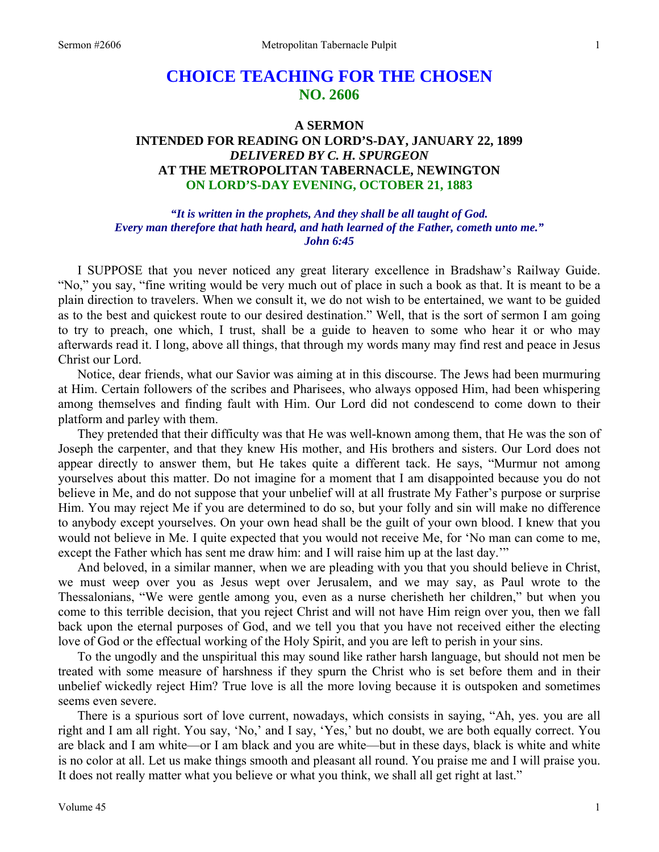# **CHOICE TEACHING FOR THE CHOSEN NO. 2606**

## **A SERMON INTENDED FOR READING ON LORD'S-DAY, JANUARY 22, 1899**  *DELIVERED BY C. H. SPURGEON*  **AT THE METROPOLITAN TABERNACLE, NEWINGTON ON LORD'S-DAY EVENING, OCTOBER 21, 1883**

*"It is written in the prophets, And they shall be all taught of God. Every man therefore that hath heard, and hath learned of the Father, cometh unto me." John 6:45* 

I SUPPOSE that you never noticed any great literary excellence in Bradshaw's Railway Guide. "No," you say, "fine writing would be very much out of place in such a book as that. It is meant to be a plain direction to travelers. When we consult it, we do not wish to be entertained, we want to be guided as to the best and quickest route to our desired destination." Well, that is the sort of sermon I am going to try to preach, one which, I trust, shall be a guide to heaven to some who hear it or who may afterwards read it. I long, above all things, that through my words many may find rest and peace in Jesus Christ our Lord.

 Notice, dear friends, what our Savior was aiming at in this discourse. The Jews had been murmuring at Him. Certain followers of the scribes and Pharisees, who always opposed Him, had been whispering among themselves and finding fault with Him. Our Lord did not condescend to come down to their platform and parley with them.

 They pretended that their difficulty was that He was well-known among them, that He was the son of Joseph the carpenter, and that they knew His mother, and His brothers and sisters. Our Lord does not appear directly to answer them, but He takes quite a different tack. He says, "Murmur not among yourselves about this matter. Do not imagine for a moment that I am disappointed because you do not believe in Me, and do not suppose that your unbelief will at all frustrate My Father's purpose or surprise Him. You may reject Me if you are determined to do so, but your folly and sin will make no difference to anybody except yourselves. On your own head shall be the guilt of your own blood. I knew that you would not believe in Me. I quite expected that you would not receive Me, for 'No man can come to me, except the Father which has sent me draw him: and I will raise him up at the last day.'"

 And beloved, in a similar manner, when we are pleading with you that you should believe in Christ, we must weep over you as Jesus wept over Jerusalem, and we may say, as Paul wrote to the Thessalonians, "We were gentle among you, even as a nurse cherisheth her children," but when you come to this terrible decision, that you reject Christ and will not have Him reign over you, then we fall back upon the eternal purposes of God, and we tell you that you have not received either the electing love of God or the effectual working of the Holy Spirit, and you are left to perish in your sins.

 To the ungodly and the unspiritual this may sound like rather harsh language, but should not men be treated with some measure of harshness if they spurn the Christ who is set before them and in their unbelief wickedly reject Him? True love is all the more loving because it is outspoken and sometimes seems even severe.

 There is a spurious sort of love current, nowadays, which consists in saying, "Ah, yes. you are all right and I am all right. You say, 'No,' and I say, 'Yes,' but no doubt, we are both equally correct. You are black and I am white—or I am black and you are white—but in these days, black is white and white is no color at all. Let us make things smooth and pleasant all round. You praise me and I will praise you. It does not really matter what you believe or what you think, we shall all get right at last."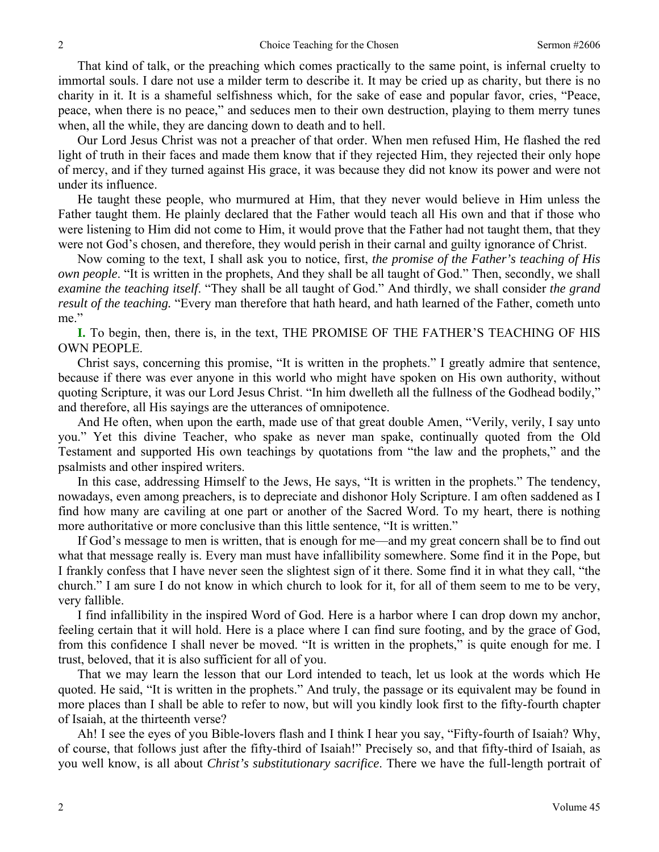That kind of talk, or the preaching which comes practically to the same point, is infernal cruelty to immortal souls. I dare not use a milder term to describe it. It may be cried up as charity, but there is no charity in it. It is a shameful selfishness which, for the sake of ease and popular favor, cries, "Peace, peace, when there is no peace," and seduces men to their own destruction, playing to them merry tunes when, all the while, they are dancing down to death and to hell.

 Our Lord Jesus Christ was not a preacher of that order. When men refused Him, He flashed the red light of truth in their faces and made them know that if they rejected Him, they rejected their only hope of mercy, and if they turned against His grace, it was because they did not know its power and were not under its influence.

 He taught these people, who murmured at Him, that they never would believe in Him unless the Father taught them. He plainly declared that the Father would teach all His own and that if those who were listening to Him did not come to Him, it would prove that the Father had not taught them, that they were not God's chosen, and therefore, they would perish in their carnal and guilty ignorance of Christ.

 Now coming to the text, I shall ask you to notice, first, *the promise of the Father's teaching of His own people*. "It is written in the prophets, And they shall be all taught of God." Then, secondly, we shall *examine the teaching itself*. "They shall be all taught of God." And thirdly, we shall consider *the grand result of the teaching.* "Every man therefore that hath heard, and hath learned of the Father, cometh unto me."

**I.** To begin, then, there is, in the text, THE PROMISE OF THE FATHER'S TEACHING OF HIS OWN PEOPLE.

 Christ says, concerning this promise, "It is written in the prophets." I greatly admire that sentence, because if there was ever anyone in this world who might have spoken on His own authority, without quoting Scripture, it was our Lord Jesus Christ. "In him dwelleth all the fullness of the Godhead bodily," and therefore, all His sayings are the utterances of omnipotence.

 And He often, when upon the earth, made use of that great double Amen, "Verily, verily, I say unto you." Yet this divine Teacher, who spake as never man spake, continually quoted from the Old Testament and supported His own teachings by quotations from "the law and the prophets," and the psalmists and other inspired writers.

 In this case, addressing Himself to the Jews, He says, "It is written in the prophets." The tendency, nowadays, even among preachers, is to depreciate and dishonor Holy Scripture. I am often saddened as I find how many are caviling at one part or another of the Sacred Word. To my heart, there is nothing more authoritative or more conclusive than this little sentence, "It is written."

 If God's message to men is written, that is enough for me—and my great concern shall be to find out what that message really is. Every man must have infallibility somewhere. Some find it in the Pope, but I frankly confess that I have never seen the slightest sign of it there. Some find it in what they call, "the church." I am sure I do not know in which church to look for it, for all of them seem to me to be very, very fallible.

 I find infallibility in the inspired Word of God. Here is a harbor where I can drop down my anchor, feeling certain that it will hold. Here is a place where I can find sure footing, and by the grace of God, from this confidence I shall never be moved. "It is written in the prophets," is quite enough for me. I trust, beloved, that it is also sufficient for all of you.

 That we may learn the lesson that our Lord intended to teach, let us look at the words which He quoted. He said, "It is written in the prophets." And truly, the passage or its equivalent may be found in more places than I shall be able to refer to now, but will you kindly look first to the fifty-fourth chapter of Isaiah, at the thirteenth verse?

 Ah! I see the eyes of you Bible-lovers flash and I think I hear you say, "Fifty-fourth of Isaiah? Why, of course, that follows just after the fifty-third of Isaiah!" Precisely so, and that fifty-third of Isaiah, as you well know, is all about *Christ's substitutionary sacrifice*. There we have the full-length portrait of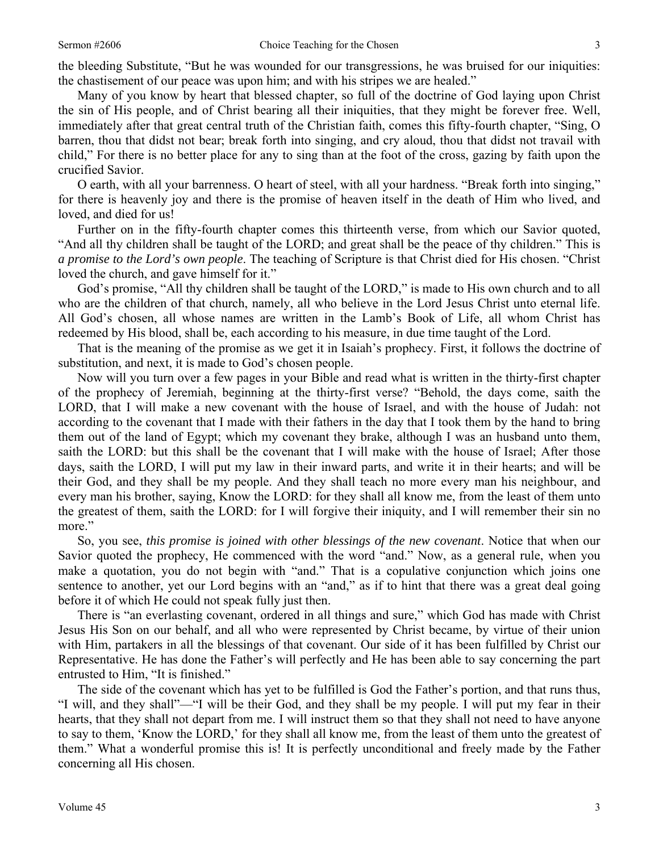the bleeding Substitute, "But he was wounded for our transgressions, he was bruised for our iniquities: the chastisement of our peace was upon him; and with his stripes we are healed."

 Many of you know by heart that blessed chapter, so full of the doctrine of God laying upon Christ the sin of His people, and of Christ bearing all their iniquities, that they might be forever free. Well, immediately after that great central truth of the Christian faith, comes this fifty-fourth chapter, "Sing, O barren, thou that didst not bear; break forth into singing, and cry aloud, thou that didst not travail with child," For there is no better place for any to sing than at the foot of the cross, gazing by faith upon the crucified Savior.

 O earth, with all your barrenness. O heart of steel, with all your hardness. "Break forth into singing," for there is heavenly joy and there is the promise of heaven itself in the death of Him who lived, and loved, and died for us!

 Further on in the fifty-fourth chapter comes this thirteenth verse, from which our Savior quoted, "And all thy children shall be taught of the LORD; and great shall be the peace of thy children." This is *a promise to the Lord's own people*. The teaching of Scripture is that Christ died for His chosen. "Christ loved the church, and gave himself for it."

 God's promise, "All thy children shall be taught of the LORD," is made to His own church and to all who are the children of that church, namely, all who believe in the Lord Jesus Christ unto eternal life. All God's chosen, all whose names are written in the Lamb's Book of Life, all whom Christ has redeemed by His blood, shall be, each according to his measure, in due time taught of the Lord.

 That is the meaning of the promise as we get it in Isaiah's prophecy. First, it follows the doctrine of substitution, and next, it is made to God's chosen people.

 Now will you turn over a few pages in your Bible and read what is written in the thirty-first chapter of the prophecy of Jeremiah, beginning at the thirty-first verse? "Behold, the days come, saith the LORD, that I will make a new covenant with the house of Israel, and with the house of Judah: not according to the covenant that I made with their fathers in the day that I took them by the hand to bring them out of the land of Egypt; which my covenant they brake, although I was an husband unto them, saith the LORD: but this shall be the covenant that I will make with the house of Israel; After those days, saith the LORD, I will put my law in their inward parts, and write it in their hearts; and will be their God, and they shall be my people. And they shall teach no more every man his neighbour, and every man his brother, saying, Know the LORD: for they shall all know me, from the least of them unto the greatest of them, saith the LORD: for I will forgive their iniquity, and I will remember their sin no more."

 So, you see, *this promise is joined with other blessings of the new covenant*. Notice that when our Savior quoted the prophecy, He commenced with the word "and." Now, as a general rule, when you make a quotation, you do not begin with "and." That is a copulative conjunction which joins one sentence to another, yet our Lord begins with an "and," as if to hint that there was a great deal going before it of which He could not speak fully just then.

 There is "an everlasting covenant, ordered in all things and sure," which God has made with Christ Jesus His Son on our behalf, and all who were represented by Christ became, by virtue of their union with Him, partakers in all the blessings of that covenant. Our side of it has been fulfilled by Christ our Representative. He has done the Father's will perfectly and He has been able to say concerning the part entrusted to Him, "It is finished."

 The side of the covenant which has yet to be fulfilled is God the Father's portion, and that runs thus, "I will, and they shall"—"I will be their God, and they shall be my people. I will put my fear in their hearts, that they shall not depart from me. I will instruct them so that they shall not need to have anyone to say to them, 'Know the LORD,' for they shall all know me, from the least of them unto the greatest of them." What a wonderful promise this is! It is perfectly unconditional and freely made by the Father concerning all His chosen.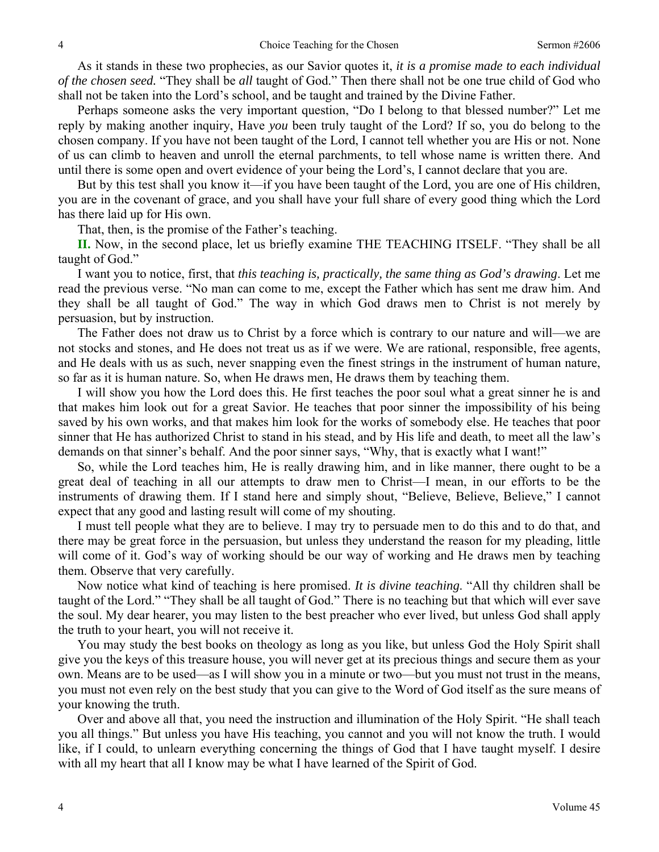As it stands in these two prophecies, as our Savior quotes it, *it is a promise made to each individual of the chosen seed.* "They shall be *all* taught of God." Then there shall not be one true child of God who shall not be taken into the Lord's school, and be taught and trained by the Divine Father.

 Perhaps someone asks the very important question, "Do I belong to that blessed number?" Let me reply by making another inquiry, Have *you* been truly taught of the Lord? If so, you do belong to the chosen company. If you have not been taught of the Lord, I cannot tell whether you are His or not. None of us can climb to heaven and unroll the eternal parchments, to tell whose name is written there. And until there is some open and overt evidence of your being the Lord's, I cannot declare that you are.

 But by this test shall you know it—if you have been taught of the Lord, you are one of His children, you are in the covenant of grace, and you shall have your full share of every good thing which the Lord has there laid up for His own.

That, then, is the promise of the Father's teaching.

**II.** Now, in the second place, let us briefly examine THE TEACHING ITSELF. "They shall be all taught of God."

 I want you to notice, first, that *this teaching is, practically, the same thing as God's drawing*. Let me read the previous verse. "No man can come to me, except the Father which has sent me draw him. And they shall be all taught of God." The way in which God draws men to Christ is not merely by persuasion, but by instruction.

 The Father does not draw us to Christ by a force which is contrary to our nature and will—we are not stocks and stones, and He does not treat us as if we were. We are rational, responsible, free agents, and He deals with us as such, never snapping even the finest strings in the instrument of human nature, so far as it is human nature. So, when He draws men, He draws them by teaching them.

 I will show you how the Lord does this. He first teaches the poor soul what a great sinner he is and that makes him look out for a great Savior. He teaches that poor sinner the impossibility of his being saved by his own works, and that makes him look for the works of somebody else. He teaches that poor sinner that He has authorized Christ to stand in his stead, and by His life and death, to meet all the law's demands on that sinner's behalf. And the poor sinner says, "Why, that is exactly what I want!"

 So, while the Lord teaches him, He is really drawing him, and in like manner, there ought to be a great deal of teaching in all our attempts to draw men to Christ—I mean, in our efforts to be the instruments of drawing them. If I stand here and simply shout, "Believe, Believe, Believe," I cannot expect that any good and lasting result will come of my shouting.

 I must tell people what they are to believe. I may try to persuade men to do this and to do that, and there may be great force in the persuasion, but unless they understand the reason for my pleading, little will come of it. God's way of working should be our way of working and He draws men by teaching them. Observe that very carefully.

 Now notice what kind of teaching is here promised. *It is divine teaching*. "All thy children shall be taught of the Lord." "They shall be all taught of God." There is no teaching but that which will ever save the soul. My dear hearer, you may listen to the best preacher who ever lived, but unless God shall apply the truth to your heart, you will not receive it.

 You may study the best books on theology as long as you like, but unless God the Holy Spirit shall give you the keys of this treasure house, you will never get at its precious things and secure them as your own. Means are to be used—as I will show you in a minute or two—but you must not trust in the means, you must not even rely on the best study that you can give to the Word of God itself as the sure means of your knowing the truth.

 Over and above all that, you need the instruction and illumination of the Holy Spirit. "He shall teach you all things." But unless you have His teaching, you cannot and you will not know the truth. I would like, if I could, to unlearn everything concerning the things of God that I have taught myself. I desire with all my heart that all I know may be what I have learned of the Spirit of God.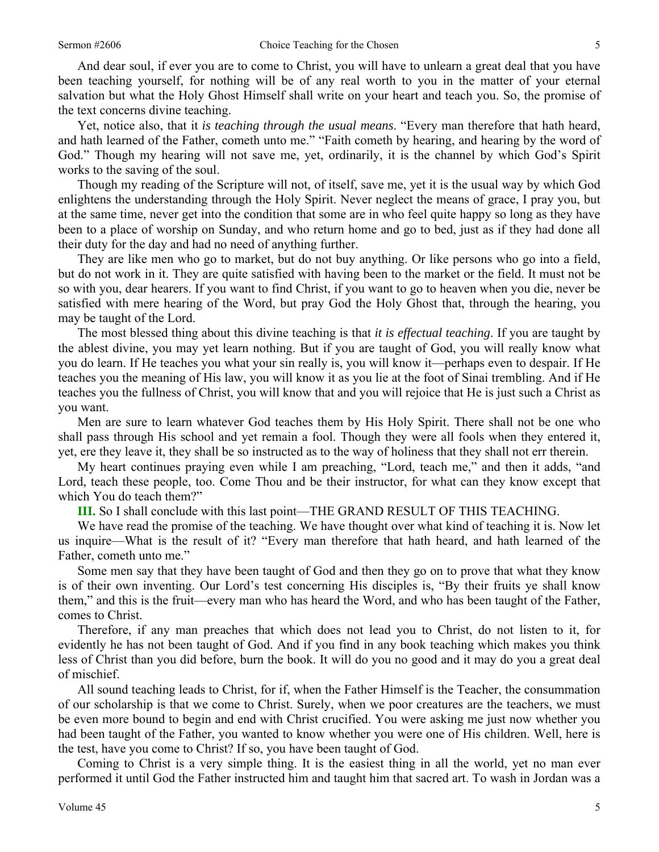And dear soul, if ever you are to come to Christ, you will have to unlearn a great deal that you have been teaching yourself, for nothing will be of any real worth to you in the matter of your eternal salvation but what the Holy Ghost Himself shall write on your heart and teach you. So, the promise of the text concerns divine teaching.

 Yet, notice also, that it *is teaching through the usual means*. "Every man therefore that hath heard, and hath learned of the Father, cometh unto me." "Faith cometh by hearing, and hearing by the word of God." Though my hearing will not save me, yet, ordinarily, it is the channel by which God's Spirit works to the saving of the soul.

 Though my reading of the Scripture will not, of itself, save me, yet it is the usual way by which God enlightens the understanding through the Holy Spirit. Never neglect the means of grace, I pray you, but at the same time, never get into the condition that some are in who feel quite happy so long as they have been to a place of worship on Sunday, and who return home and go to bed, just as if they had done all their duty for the day and had no need of anything further.

 They are like men who go to market, but do not buy anything. Or like persons who go into a field, but do not work in it. They are quite satisfied with having been to the market or the field. It must not be so with you, dear hearers. If you want to find Christ, if you want to go to heaven when you die, never be satisfied with mere hearing of the Word, but pray God the Holy Ghost that, through the hearing, you may be taught of the Lord.

 The most blessed thing about this divine teaching is that *it is effectual teaching*. If you are taught by the ablest divine, you may yet learn nothing. But if you are taught of God, you will really know what you do learn. If He teaches you what your sin really is, you will know it—perhaps even to despair. If He teaches you the meaning of His law, you will know it as you lie at the foot of Sinai trembling. And if He teaches you the fullness of Christ, you will know that and you will rejoice that He is just such a Christ as you want.

 Men are sure to learn whatever God teaches them by His Holy Spirit. There shall not be one who shall pass through His school and yet remain a fool. Though they were all fools when they entered it, yet, ere they leave it, they shall be so instructed as to the way of holiness that they shall not err therein.

 My heart continues praying even while I am preaching, "Lord, teach me," and then it adds, "and Lord, teach these people, too. Come Thou and be their instructor, for what can they know except that which You do teach them?"

**III.** So I shall conclude with this last point—THE GRAND RESULT OF THIS TEACHING.

 We have read the promise of the teaching. We have thought over what kind of teaching it is. Now let us inquire—What is the result of it? "Every man therefore that hath heard, and hath learned of the Father, cometh unto me."

 Some men say that they have been taught of God and then they go on to prove that what they know is of their own inventing. Our Lord's test concerning His disciples is, "By their fruits ye shall know them," and this is the fruit—every man who has heard the Word, and who has been taught of the Father, comes to Christ.

 Therefore, if any man preaches that which does not lead you to Christ, do not listen to it, for evidently he has not been taught of God. And if you find in any book teaching which makes you think less of Christ than you did before, burn the book. It will do you no good and it may do you a great deal of mischief.

 All sound teaching leads to Christ, for if, when the Father Himself is the Teacher, the consummation of our scholarship is that we come to Christ. Surely, when we poor creatures are the teachers, we must be even more bound to begin and end with Christ crucified. You were asking me just now whether you had been taught of the Father, you wanted to know whether you were one of His children. Well, here is the test, have you come to Christ? If so, you have been taught of God.

 Coming to Christ is a very simple thing. It is the easiest thing in all the world, yet no man ever performed it until God the Father instructed him and taught him that sacred art. To wash in Jordan was a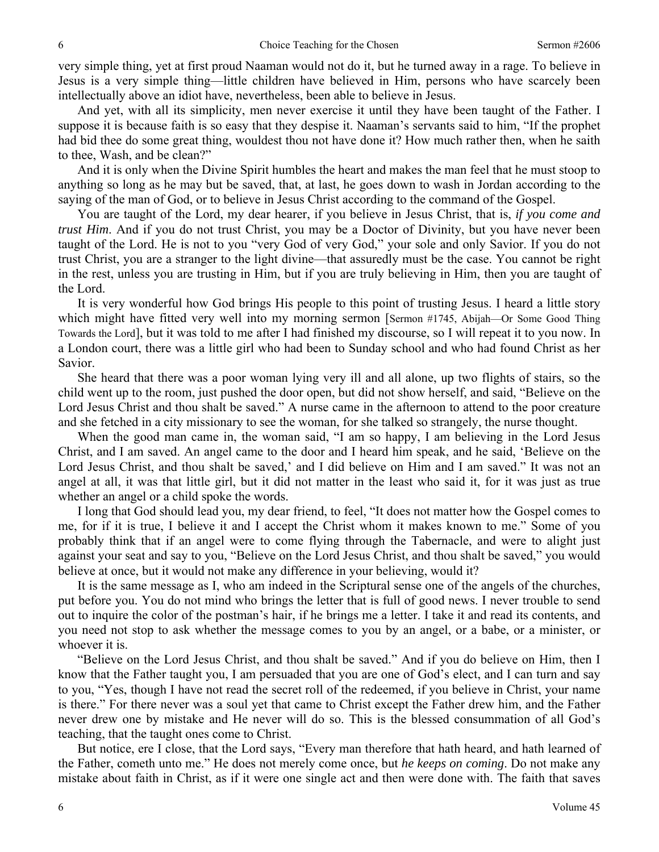very simple thing, yet at first proud Naaman would not do it, but he turned away in a rage. To believe in Jesus is a very simple thing—little children have believed in Him, persons who have scarcely been intellectually above an idiot have, nevertheless, been able to believe in Jesus.

 And yet, with all its simplicity, men never exercise it until they have been taught of the Father. I suppose it is because faith is so easy that they despise it. Naaman's servants said to him, "If the prophet had bid thee do some great thing, wouldest thou not have done it? How much rather then, when he saith to thee, Wash, and be clean?"

 And it is only when the Divine Spirit humbles the heart and makes the man feel that he must stoop to anything so long as he may but be saved, that, at last, he goes down to wash in Jordan according to the saying of the man of God, or to believe in Jesus Christ according to the command of the Gospel.

 You are taught of the Lord, my dear hearer, if you believe in Jesus Christ, that is, *if you come and trust Him*. And if you do not trust Christ, you may be a Doctor of Divinity, but you have never been taught of the Lord. He is not to you "very God of very God," your sole and only Savior. If you do not trust Christ, you are a stranger to the light divine—that assuredly must be the case. You cannot be right in the rest, unless you are trusting in Him, but if you are truly believing in Him, then you are taught of the Lord.

 It is very wonderful how God brings His people to this point of trusting Jesus. I heard a little story which might have fitted very well into my morning sermon [Sermon #1745, Abijah—Or Some Good Thing Towards the Lord], but it was told to me after I had finished my discourse, so I will repeat it to you now. In a London court, there was a little girl who had been to Sunday school and who had found Christ as her Savior.

 She heard that there was a poor woman lying very ill and all alone, up two flights of stairs, so the child went up to the room, just pushed the door open, but did not show herself, and said, "Believe on the Lord Jesus Christ and thou shalt be saved." A nurse came in the afternoon to attend to the poor creature and she fetched in a city missionary to see the woman, for she talked so strangely, the nurse thought.

 When the good man came in, the woman said, "I am so happy, I am believing in the Lord Jesus Christ, and I am saved. An angel came to the door and I heard him speak, and he said, 'Believe on the Lord Jesus Christ, and thou shalt be saved,' and I did believe on Him and I am saved." It was not an angel at all, it was that little girl, but it did not matter in the least who said it, for it was just as true whether an angel or a child spoke the words.

 I long that God should lead you, my dear friend, to feel, "It does not matter how the Gospel comes to me, for if it is true, I believe it and I accept the Christ whom it makes known to me." Some of you probably think that if an angel were to come flying through the Tabernacle, and were to alight just against your seat and say to you, "Believe on the Lord Jesus Christ, and thou shalt be saved," you would believe at once, but it would not make any difference in your believing, would it?

 It is the same message as I, who am indeed in the Scriptural sense one of the angels of the churches, put before you. You do not mind who brings the letter that is full of good news. I never trouble to send out to inquire the color of the postman's hair, if he brings me a letter. I take it and read its contents, and you need not stop to ask whether the message comes to you by an angel, or a babe, or a minister, or whoever it is.

 "Believe on the Lord Jesus Christ, and thou shalt be saved." And if you do believe on Him, then I know that the Father taught you, I am persuaded that you are one of God's elect, and I can turn and say to you, "Yes, though I have not read the secret roll of the redeemed, if you believe in Christ, your name is there." For there never was a soul yet that came to Christ except the Father drew him, and the Father never drew one by mistake and He never will do so. This is the blessed consummation of all God's teaching, that the taught ones come to Christ.

 But notice, ere I close, that the Lord says, "Every man therefore that hath heard, and hath learned of the Father, cometh unto me." He does not merely come once, but *he keeps on coming*. Do not make any mistake about faith in Christ, as if it were one single act and then were done with. The faith that saves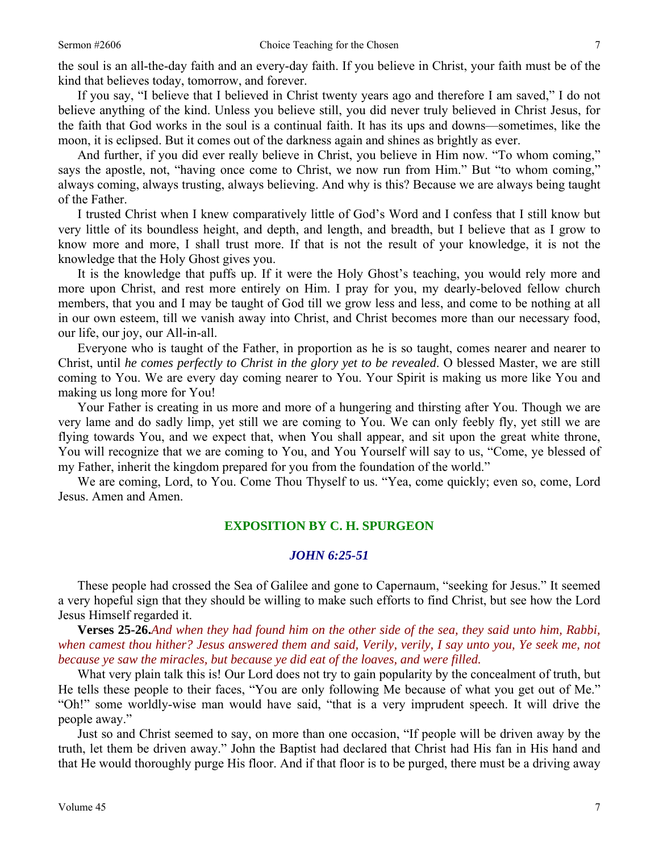the soul is an all-the-day faith and an every-day faith. If you believe in Christ, your faith must be of the kind that believes today, tomorrow, and forever.

 If you say, "I believe that I believed in Christ twenty years ago and therefore I am saved," I do not believe anything of the kind. Unless you believe still, you did never truly believed in Christ Jesus, for the faith that God works in the soul is a continual faith. It has its ups and downs—sometimes, like the moon, it is eclipsed. But it comes out of the darkness again and shines as brightly as ever.

 And further, if you did ever really believe in Christ, you believe in Him now. "To whom coming," says the apostle, not, "having once come to Christ, we now run from Him." But "to whom coming," always coming, always trusting, always believing. And why is this? Because we are always being taught of the Father.

 I trusted Christ when I knew comparatively little of God's Word and I confess that I still know but very little of its boundless height, and depth, and length, and breadth, but I believe that as I grow to know more and more, I shall trust more. If that is not the result of your knowledge, it is not the knowledge that the Holy Ghost gives you.

 It is the knowledge that puffs up. If it were the Holy Ghost's teaching, you would rely more and more upon Christ, and rest more entirely on Him. I pray for you, my dearly-beloved fellow church members, that you and I may be taught of God till we grow less and less, and come to be nothing at all in our own esteem, till we vanish away into Christ, and Christ becomes more than our necessary food, our life, our joy, our All-in-all.

 Everyone who is taught of the Father, in proportion as he is so taught, comes nearer and nearer to Christ, until *he comes perfectly to Christ in the glory yet to be revealed*. O blessed Master, we are still coming to You. We are every day coming nearer to You. Your Spirit is making us more like You and making us long more for You!

 Your Father is creating in us more and more of a hungering and thirsting after You. Though we are very lame and do sadly limp, yet still we are coming to You. We can only feebly fly, yet still we are flying towards You, and we expect that, when You shall appear, and sit upon the great white throne, You will recognize that we are coming to You, and You Yourself will say to us, "Come, ye blessed of my Father, inherit the kingdom prepared for you from the foundation of the world."

 We are coming, Lord, to You. Come Thou Thyself to us. "Yea, come quickly; even so, come, Lord Jesus. Amen and Amen.

#### **EXPOSITION BY C. H. SPURGEON**

#### *JOHN 6:25-51*

These people had crossed the Sea of Galilee and gone to Capernaum, "seeking for Jesus." It seemed a very hopeful sign that they should be willing to make such efforts to find Christ, but see how the Lord Jesus Himself regarded it.

**Verses 25-26.***And when they had found him on the other side of the sea, they said unto him, Rabbi, when camest thou hither? Jesus answered them and said, Verily, verily, I say unto you, Ye seek me, not because ye saw the miracles, but because ye did eat of the loaves, and were filled.* 

 What very plain talk this is! Our Lord does not try to gain popularity by the concealment of truth, but He tells these people to their faces, "You are only following Me because of what you get out of Me." "Oh!" some worldly-wise man would have said, "that is a very imprudent speech. It will drive the people away."

 Just so and Christ seemed to say, on more than one occasion, "If people will be driven away by the truth, let them be driven away." John the Baptist had declared that Christ had His fan in His hand and that He would thoroughly purge His floor. And if that floor is to be purged, there must be a driving away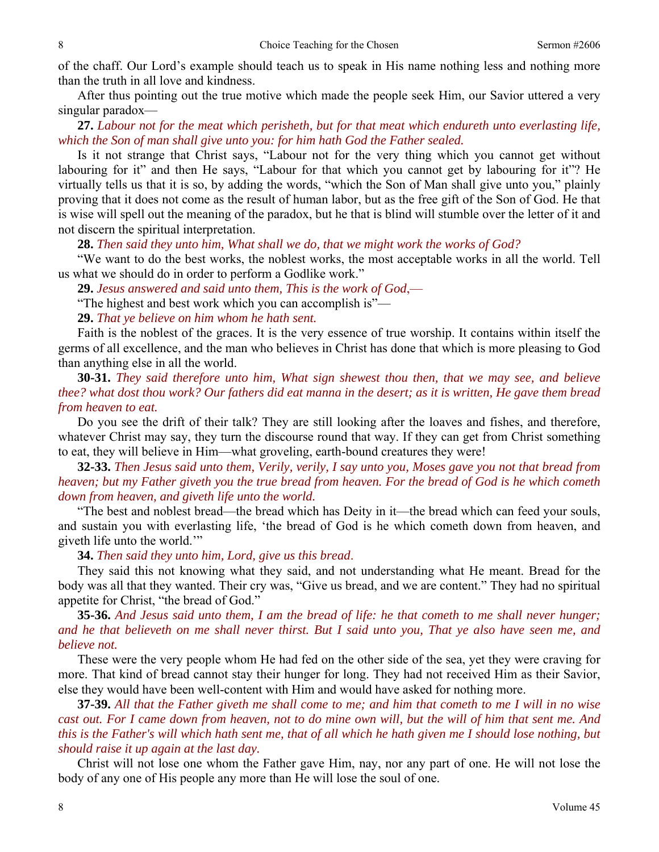of the chaff. Our Lord's example should teach us to speak in His name nothing less and nothing more than the truth in all love and kindness.

 After thus pointing out the true motive which made the people seek Him, our Savior uttered a very singular paradox—

**27.** *Labour not for the meat which perisheth, but for that meat which endureth unto everlasting life, which the Son of man shall give unto you: for him hath God the Father sealed.*

 Is it not strange that Christ says, "Labour not for the very thing which you cannot get without labouring for it" and then He says, "Labour for that which you cannot get by labouring for it"? He virtually tells us that it is so, by adding the words, "which the Son of Man shall give unto you," plainly proving that it does not come as the result of human labor, but as the free gift of the Son of God. He that is wise will spell out the meaning of the paradox, but he that is blind will stumble over the letter of it and not discern the spiritual interpretation.

**28.** *Then said they unto him, What shall we do, that we might work the works of God?*

 "We want to do the best works, the noblest works, the most acceptable works in all the world. Tell us what we should do in order to perform a Godlike work."

**29.** *Jesus answered and said unto them, This is the work of God*,—

"The highest and best work which you can accomplish is"—

**29.** *That ye believe on him whom he hath sent.*

 Faith is the noblest of the graces. It is the very essence of true worship. It contains within itself the germs of all excellence, and the man who believes in Christ has done that which is more pleasing to God than anything else in all the world.

**30-31.** *They said therefore unto him, What sign shewest thou then, that we may see, and believe thee? what dost thou work? Our fathers did eat manna in the desert; as it is written, He gave them bread from heaven to eat.* 

 Do you see the drift of their talk? They are still looking after the loaves and fishes, and therefore, whatever Christ may say, they turn the discourse round that way. If they can get from Christ something to eat, they will believe in Him—what groveling, earth-bound creatures they were!

**32-33.** *Then Jesus said unto them, Verily, verily, I say unto you, Moses gave you not that bread from heaven; but my Father giveth you the true bread from heaven. For the bread of God is he which cometh down from heaven, and giveth life unto the world.* 

 "The best and noblest bread—the bread which has Deity in it—the bread which can feed your souls, and sustain you with everlasting life, 'the bread of God is he which cometh down from heaven, and giveth life unto the world.'"

**34.** *Then said they unto him, Lord, give us this bread*.

 They said this not knowing what they said, and not understanding what He meant. Bread for the body was all that they wanted. Their cry was, "Give us bread, and we are content." They had no spiritual appetite for Christ, "the bread of God."

**35-36.** *And Jesus said unto them, I am the bread of life: he that cometh to me shall never hunger; and he that believeth on me shall never thirst. But I said unto you, That ye also have seen me, and believe not.* 

 These were the very people whom He had fed on the other side of the sea, yet they were craving for more. That kind of bread cannot stay their hunger for long. They had not received Him as their Savior, else they would have been well-content with Him and would have asked for nothing more.

**37-39.** *All that the Father giveth me shall come to me; and him that cometh to me I will in no wise cast out. For I came down from heaven, not to do mine own will, but the will of him that sent me. And this is the Father's will which hath sent me, that of all which he hath given me I should lose nothing, but should raise it up again at the last day.* 

 Christ will not lose one whom the Father gave Him, nay, nor any part of one. He will not lose the body of any one of His people any more than He will lose the soul of one.